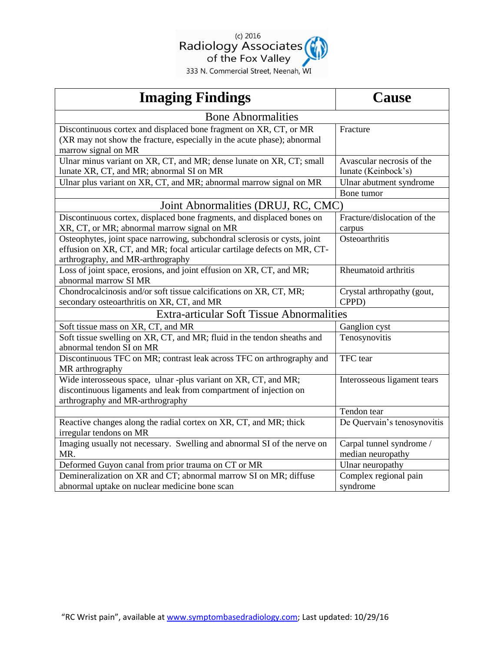

| 333 N. Commercial Street, Neenah, WI |  |
|--------------------------------------|--|
|--------------------------------------|--|

| <b>Imaging Findings</b>                                                                                                                                                                    | Cause                                            |  |
|--------------------------------------------------------------------------------------------------------------------------------------------------------------------------------------------|--------------------------------------------------|--|
| <b>Bone Abnormalities</b>                                                                                                                                                                  |                                                  |  |
| Discontinuous cortex and displaced bone fragment on XR, CT, or MR<br>(XR may not show the fracture, especially in the acute phase); abnormal<br>marrow signal on MR                        | Fracture                                         |  |
| Ulnar minus variant on XR, CT, and MR; dense lunate on XR, CT; small<br>lunate XR, CT, and MR; abnormal SI on MR                                                                           | Avascular necrosis of the<br>lunate (Keinbock's) |  |
| Ulnar plus variant on XR, CT, and MR; abnormal marrow signal on MR                                                                                                                         | Ulnar abutment syndrome<br>Bone tumor            |  |
| Joint Abnormalities (DRUJ, RC, CMC)                                                                                                                                                        |                                                  |  |
| Discontinuous cortex, displaced bone fragments, and displaced bones on<br>XR, CT, or MR; abnormal marrow signal on MR                                                                      | Fracture/dislocation of the<br>carpus            |  |
| Osteophytes, joint space narrowing, subchondral sclerosis or cysts, joint<br>effusion on XR, CT, and MR; focal articular cartilage defects on MR, CT-<br>arthrography, and MR-arthrography | Osteoarthritis                                   |  |
| Loss of joint space, erosions, and joint effusion on XR, CT, and MR;<br>abnormal marrow SI MR                                                                                              | Rheumatoid arthritis                             |  |
| Chondrocalcinosis and/or soft tissue calcifications on XR, CT, MR;<br>secondary osteoarthritis on XR, CT, and MR                                                                           | Crystal arthropathy (gout,<br>CPPD)              |  |
| <b>Extra-articular Soft Tissue Abnormalities</b>                                                                                                                                           |                                                  |  |
| Soft tissue mass on XR, CT, and MR                                                                                                                                                         | Ganglion cyst                                    |  |
| Soft tissue swelling on XR, CT, and MR; fluid in the tendon sheaths and<br>abnormal tendon SI on MR                                                                                        | Tenosynovitis                                    |  |
| Discontinuous TFC on MR; contrast leak across TFC on arthrography and<br>MR arthrography                                                                                                   | TFC tear                                         |  |
| Wide interosseous space, ulnar -plus variant on XR, CT, and MR;<br>discontinuous ligaments and leak from compartment of injection on<br>arthrography and MR-arthrography                   | Interosseous ligament tears                      |  |
|                                                                                                                                                                                            | Tendon tear                                      |  |
| Reactive changes along the radial cortex on XR, CT, and MR; thick<br>irregular tendons on MR                                                                                               | De Quervain's tenosynovitis                      |  |
| Imaging usually not necessary. Swelling and abnormal SI of the nerve on<br>MR.                                                                                                             | Carpal tunnel syndrome /<br>median neuropathy    |  |
| Deformed Guyon canal from prior trauma on CT or MR                                                                                                                                         | Ulnar neuropathy                                 |  |
| Demineralization on XR and CT; abnormal marrow SI on MR; diffuse<br>abnormal uptake on nuclear medicine bone scan                                                                          | Complex regional pain<br>syndrome                |  |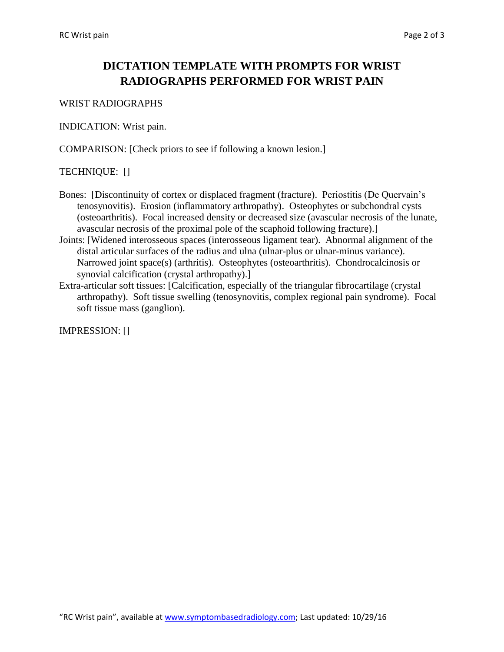## **DICTATION TEMPLATE WITH PROMPTS FOR WRIST RADIOGRAPHS PERFORMED FOR WRIST PAIN**

### WRIST RADIOGRAPHS

INDICATION: Wrist pain.

COMPARISON: [Check priors to see if following a known lesion.]

## TECHNIQUE: []

- Bones: [Discontinuity of cortex or displaced fragment (fracture). Periostitis (De Quervain's tenosynovitis). Erosion (inflammatory arthropathy). Osteophytes or subchondral cysts (osteoarthritis). Focal increased density or decreased size (avascular necrosis of the lunate, avascular necrosis of the proximal pole of the scaphoid following fracture).]
- Joints: [Widened interosseous spaces (interosseous ligament tear). Abnormal alignment of the distal articular surfaces of the radius and ulna (ulnar-plus or ulnar-minus variance). Narrowed joint space(s) (arthritis). Osteophytes (osteoarthritis). Chondrocalcinosis or synovial calcification (crystal arthropathy).]
- Extra-articular soft tissues: [Calcification, especially of the triangular fibrocartilage (crystal arthropathy). Soft tissue swelling (tenosynovitis, complex regional pain syndrome). Focal soft tissue mass (ganglion).

IMPRESSION: []